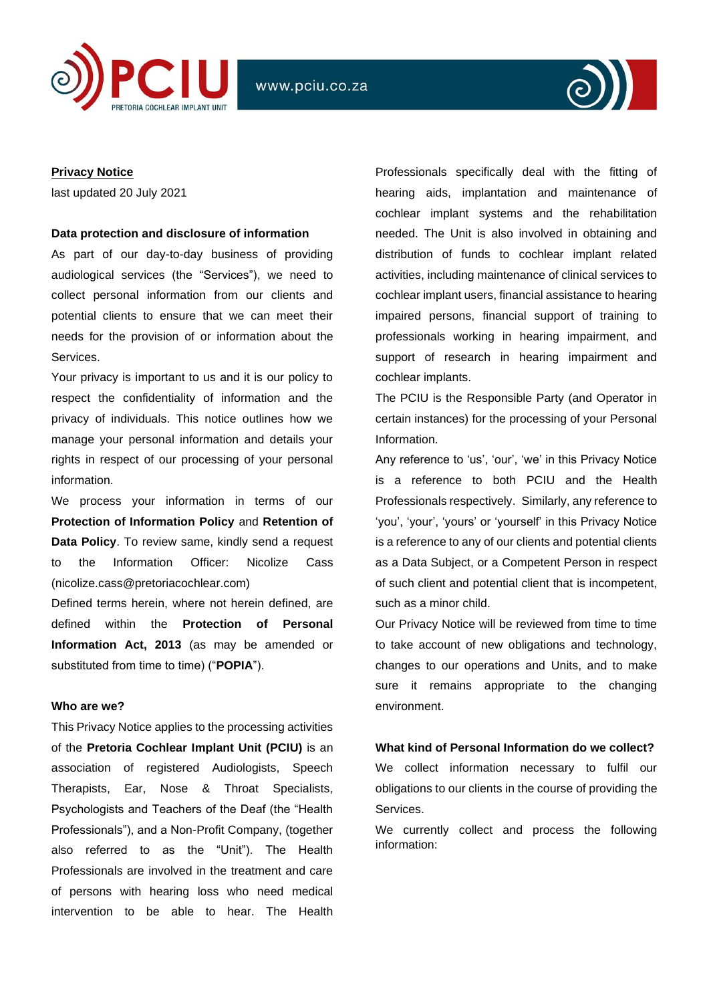



## **Privacy Notice**

last updated 20 July 2021

### **Data protection and disclosure of information**

As part of our day-to-day business of providing audiological services (the "Services"), we need to collect personal information from our clients and potential clients to ensure that we can meet their needs for the provision of or information about the Services.

Your privacy is important to us and it is our policy to respect the confidentiality of information and the privacy of individuals. This notice outlines how we manage your personal information and details your rights in respect of our processing of your personal information.

We process your information in terms of our **Protection of Information Policy** and **Retention of Data Policy**. To review same, kindly send a request to the Information Officer: Nicolize Cass (nicolize.cass@pretoriacochlear.com)

Defined terms herein, where not herein defined, are defined within the **Protection of Personal Information Act, 2013** (as may be amended or substituted from time to time) ("**POPIA**").

## **Who are we?**

This Privacy Notice applies to the processing activities of the **Pretoria Cochlear Implant Unit (PCIU)** is an association of registered Audiologists, Speech Therapists, Ear, Nose & Throat Specialists, Psychologists and Teachers of the Deaf (the "Health Professionals"), and a Non-Profit Company, (together also referred to as the "Unit"). The Health Professionals are involved in the treatment and care of persons with hearing loss who need medical intervention to be able to hear. The Health

Professionals specifically deal with the fitting of hearing aids, implantation and maintenance of cochlear implant systems and the rehabilitation needed. The Unit is also involved in obtaining and distribution of funds to cochlear implant related activities, including maintenance of clinical services to cochlear implant users, financial assistance to hearing impaired persons, financial support of training to professionals working in hearing impairment, and support of research in hearing impairment and cochlear implants.

The PCIU is the Responsible Party (and Operator in certain instances) for the processing of your Personal Information.

Any reference to 'us', 'our', 'we' in this Privacy Notice is a reference to both PCIU and the Health Professionals respectively. Similarly, any reference to 'you', 'your', 'yours' or 'yourself' in this Privacy Notice is a reference to any of our clients and potential clients as a Data Subject, or a Competent Person in respect of such client and potential client that is incompetent, such as a minor child.

Our Privacy Notice will be reviewed from time to time to take account of new obligations and technology, changes to our operations and Units, and to make sure it remains appropriate to the changing environment.

### **What kind of Personal Information do we collect?**

We collect information necessary to fulfil our obligations to our clients in the course of providing the Services.

We currently collect and process the following information: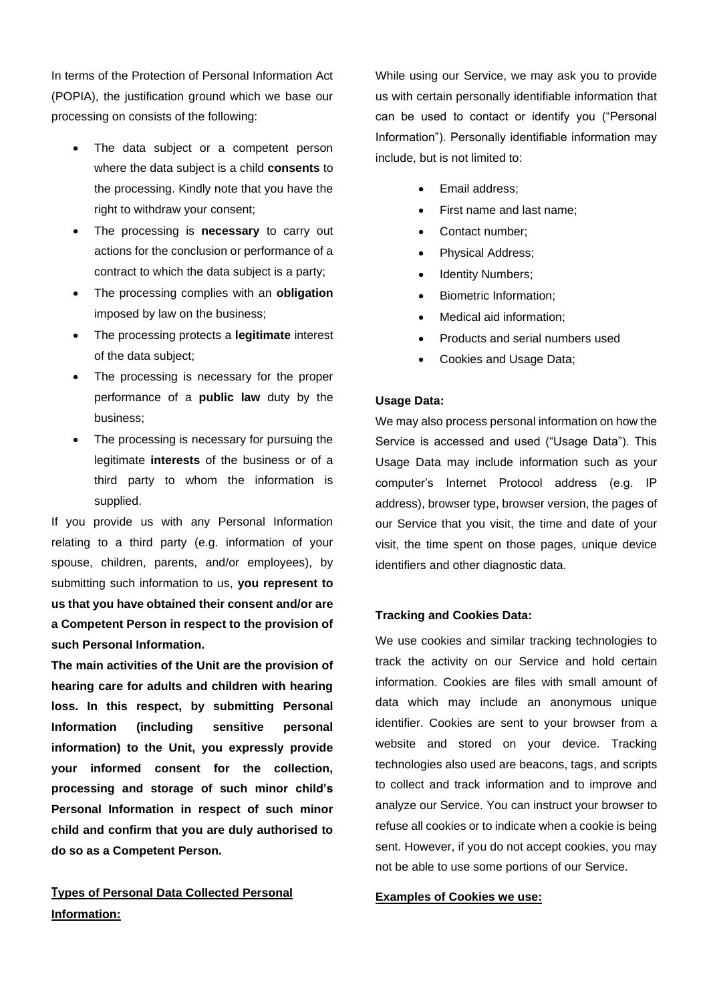In terms of the Protection of Personal Information Act (POPIA), the justification ground which we base our processing on consists of the following:

- The data subject or a competent person where the data subject is a child **consents** to the processing. Kindly note that you have the right to withdraw your consent;
- The processing is **necessary** to carry out actions for the conclusion or performance of a contract to which the data subject is a party;
- The processing complies with an **obligation** imposed by law on the business;
- The processing protects a **legitimate** interest of the data subject;
- The processing is necessary for the proper performance of a **public law** duty by the business;
- The processing is necessary for pursuing the legitimate **interests** of the business or of a third party to whom the information is supplied.

If you provide us with any Personal Information relating to a third party (e.g. information of your spouse, children, parents, and/or employees), by submitting such information to us, **you represent to us that you have obtained their consent and/or are a Competent Person in respect to the provision of such Personal Information.**

**The main activities of the Unit are the provision of hearing care for adults and children with hearing loss. In this respect, by submitting Personal Information (including sensitive personal information) to the Unit, you expressly provide your informed consent for the collection, processing and storage of such minor child's Personal Information in respect of such minor child and confirm that you are duly authorised to do so as a Competent Person.**

# **Types of Personal Data Collected Personal Information:**

While using our Service, we may ask you to provide us with certain personally identifiable information that can be used to contact or identify you ("Personal Information"). Personally identifiable information may include, but is not limited to:

- Email address;
- First name and last name;
- Contact number:
- Physical Address;
- Identity Numbers;
- Biometric Information;
- Medical aid information:
- Products and serial numbers used
- Cookies and Usage Data;

## **Usage Data:**

We may also process personal information on how the Service is accessed and used ("Usage Data"). This Usage Data may include information such as your computer's Internet Protocol address (e.g. IP address), browser type, browser version, the pages of our Service that you visit, the time and date of your visit, the time spent on those pages, unique device identifiers and other diagnostic data.

## **Tracking and Cookies Data:**

We use cookies and similar tracking technologies to track the activity on our Service and hold certain information. Cookies are files with small amount of data which may include an anonymous unique identifier. Cookies are sent to your browser from a website and stored on your device. Tracking technologies also used are beacons, tags, and scripts to collect and track information and to improve and analyze our Service. You can instruct your browser to refuse all cookies or to indicate when a cookie is being sent. However, if you do not accept cookies, you may not be able to use some portions of our Service.

# **Examples of Cookies we use:**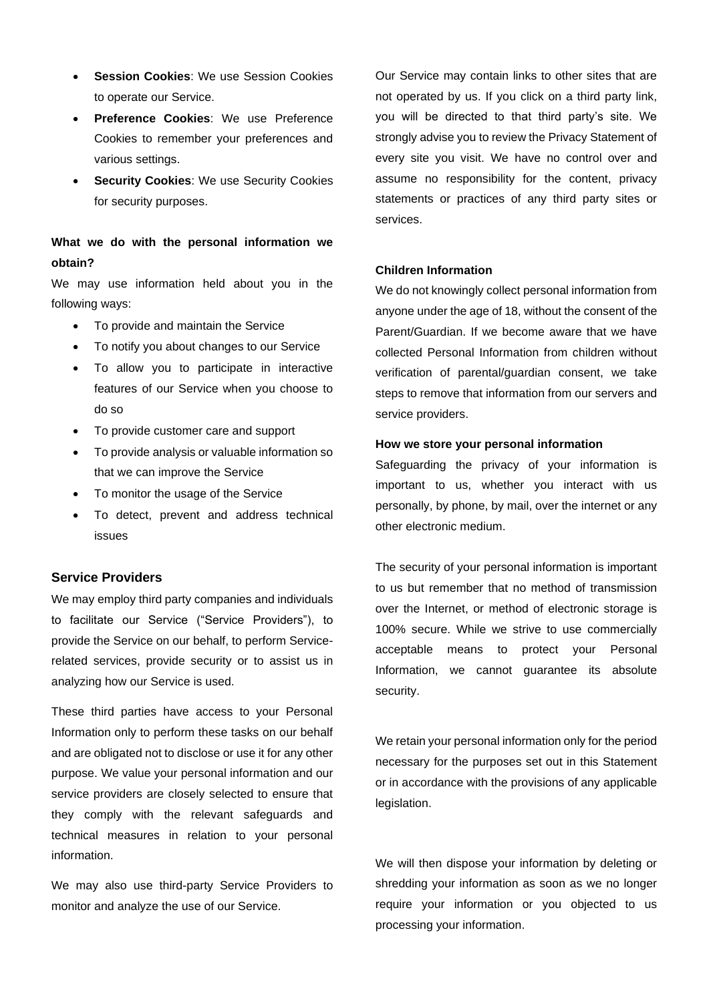- **Session Cookies:** We use Session Cookies to operate our Service.
- **Preference Cookies**: We use Preference Cookies to remember your preferences and various settings.
- **Security Cookies: We use Security Cookies** for security purposes.

# **What we do with the personal information we obtain?**

We may use information held about you in the following ways:

- To provide and maintain the Service
- To notify you about changes to our Service
- To allow you to participate in interactive features of our Service when you choose to do so
- To provide customer care and support
- To provide analysis or valuable information so that we can improve the Service
- To monitor the usage of the Service
- To detect, prevent and address technical issues

## **Service Providers**

We may employ third party companies and individuals to facilitate our Service ("Service Providers"), to provide the Service on our behalf, to perform Servicerelated services, provide security or to assist us in analyzing how our Service is used.

These third parties have access to your Personal Information only to perform these tasks on our behalf and are obligated not to disclose or use it for any other purpose. We value your personal information and our service providers are closely selected to ensure that they comply with the relevant safeguards and technical measures in relation to your personal information.

We may also use third-party Service Providers to monitor and analyze the use of our Service.

Our Service may contain links to other sites that are not operated by us. If you click on a third party link, you will be directed to that third party's site. We strongly advise you to review the Privacy Statement of every site you visit. We have no control over and assume no responsibility for the content, privacy statements or practices of any third party sites or services.

# **Children Information**

We do not knowingly collect personal information from anyone under the age of 18, without the consent of the Parent/Guardian. If we become aware that we have collected Personal Information from children without verification of parental/guardian consent, we take steps to remove that information from our servers and service providers.

### **How we store your personal information**

Safeguarding the privacy of your information is important to us, whether you interact with us personally, by phone, by mail, over the internet or any other electronic medium.

The security of your personal information is important to us but remember that no method of transmission over the Internet, or method of electronic storage is 100% secure. While we strive to use commercially acceptable means to protect your Personal Information, we cannot guarantee its absolute security.

We retain your personal information only for the period necessary for the purposes set out in this Statement or in accordance with the provisions of any applicable legislation.

We will then dispose your information by deleting or shredding your information as soon as we no longer require your information or you objected to us processing your information.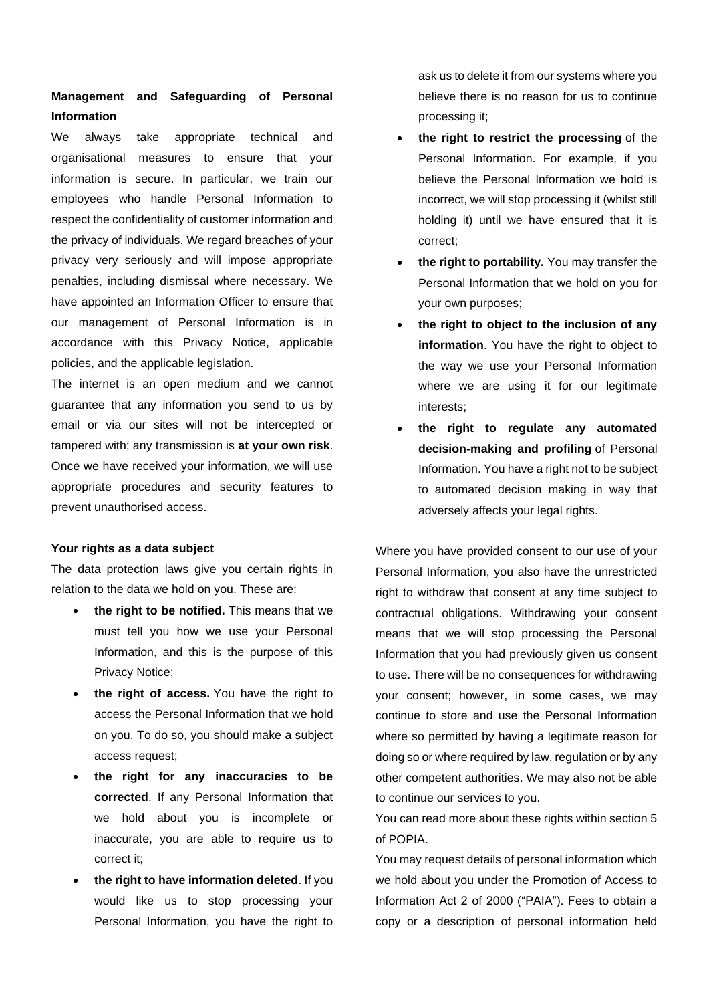# **Management and Safeguarding of Personal Information**

We always take appropriate technical and organisational measures to ensure that your information is secure. In particular, we train our employees who handle Personal Information to respect the confidentiality of customer information and the privacy of individuals. We regard breaches of your privacy very seriously and will impose appropriate penalties, including dismissal where necessary. We have appointed an Information Officer to ensure that our management of Personal Information is in accordance with this Privacy Notice, applicable policies, and the applicable legislation.

The internet is an open medium and we cannot guarantee that any information you send to us by email or via our sites will not be intercepted or tampered with; any transmission is **at your own risk**. Once we have received your information, we will use appropriate procedures and security features to prevent unauthorised access.

## **Your rights as a data subject**

The data protection laws give you certain rights in relation to the data we hold on you. These are:

- **the right to be notified.** This means that we must tell you how we use your Personal Information, and this is the purpose of this Privacy Notice;
- **the right of access.** You have the right to access the Personal Information that we hold on you. To do so, you should make a subject access request;
- **the right for any inaccuracies to be corrected**. If any Personal Information that we hold about you is incomplete or inaccurate, you are able to require us to correct it;
- **the right to have information deleted**. If you would like us to stop processing your Personal Information, you have the right to

ask us to delete it from our systems where you believe there is no reason for us to continue processing it;

- **the right to restrict the processing** of the Personal Information. For example, if you believe the Personal Information we hold is incorrect, we will stop processing it (whilst still holding it) until we have ensured that it is correct;
- **the right to portability.** You may transfer the Personal Information that we hold on you for your own purposes;
- **the right to object to the inclusion of any information**. You have the right to object to the way we use your Personal Information where we are using it for our legitimate interests;
- **the right to regulate any automated decision-making and profiling** of Personal Information. You have a right not to be subject to automated decision making in way that adversely affects your legal rights.

Where you have provided consent to our use of your Personal Information, you also have the unrestricted right to withdraw that consent at any time subject to contractual obligations. Withdrawing your consent means that we will stop processing the Personal Information that you had previously given us consent to use. There will be no consequences for withdrawing your consent; however, in some cases, we may continue to store and use the Personal Information where so permitted by having a legitimate reason for doing so or where required by law, regulation or by any other competent authorities. We may also not be able to continue our services to you.

You can read more about these rights within section 5 of POPIA.

You may request details of personal information which we hold about you under the Promotion of Access to Information Act 2 of 2000 ("PAIA"). Fees to obtain a copy or a description of personal information held